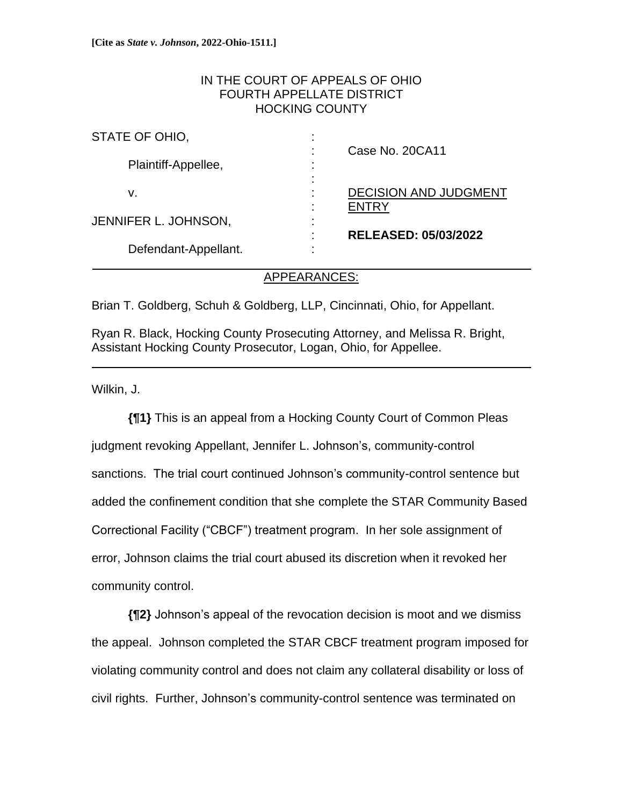# IN THE COURT OF APPEALS OF OHIO FOURTH APPELLATE DISTRICT HOCKING COUNTY

| STATE OF OHIO,       |                              |
|----------------------|------------------------------|
| Plaintiff-Appellee,  | Case No. 20CA11              |
|                      |                              |
|                      |                              |
| v.                   | <b>DECISION AND JUDGMENT</b> |
| JENNIFER L. JOHNSON, | <b>ENTRY</b>                 |
|                      |                              |
| Defendant-Appellant. | <b>RELEASED: 05/03/2022</b>  |
|                      |                              |
|                      |                              |

## APPEARANCES:

i<br>L

Brian T. Goldberg, Schuh & Goldberg, LLP, Cincinnati, Ohio, for Appellant.

Ryan R. Black, Hocking County Prosecuting Attorney, and Melissa R. Bright, Assistant Hocking County Prosecutor, Logan, Ohio, for Appellee.

Wilkin, J.

**{¶1}** This is an appeal from a Hocking County Court of Common Pleas judgment revoking Appellant, Jennifer L. Johnson's, community-control sanctions. The trial court continued Johnson's community-control sentence but added the confinement condition that she complete the STAR Community Based Correctional Facility ("CBCF") treatment program. In her sole assignment of error, Johnson claims the trial court abused its discretion when it revoked her community control.

**{¶2}** Johnson's appeal of the revocation decision is moot and we dismiss the appeal. Johnson completed the STAR CBCF treatment program imposed for violating community control and does not claim any collateral disability or loss of civil rights. Further, Johnson's community-control sentence was terminated on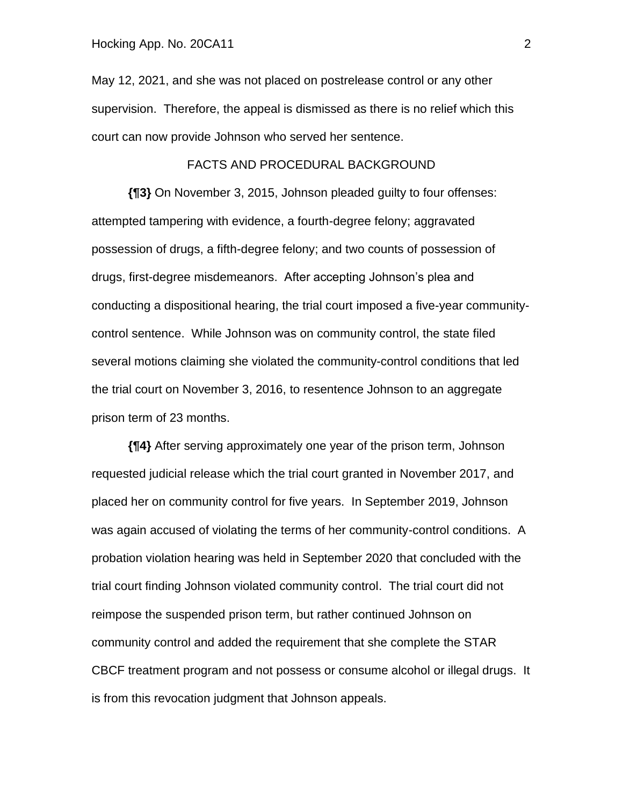May 12, 2021, and she was not placed on postrelease control or any other supervision. Therefore, the appeal is dismissed as there is no relief which this court can now provide Johnson who served her sentence.

### FACTS AND PROCEDURAL BACKGROUND

**{¶3}** On November 3, 2015, Johnson pleaded guilty to four offenses: attempted tampering with evidence, a fourth-degree felony; aggravated possession of drugs, a fifth-degree felony; and two counts of possession of drugs, first-degree misdemeanors. After accepting Johnson's plea and conducting a dispositional hearing, the trial court imposed a five-year communitycontrol sentence. While Johnson was on community control, the state filed several motions claiming she violated the community-control conditions that led the trial court on November 3, 2016, to resentence Johnson to an aggregate prison term of 23 months.

**{¶4}** After serving approximately one year of the prison term, Johnson requested judicial release which the trial court granted in November 2017, and placed her on community control for five years. In September 2019, Johnson was again accused of violating the terms of her community-control conditions. A probation violation hearing was held in September 2020 that concluded with the trial court finding Johnson violated community control. The trial court did not reimpose the suspended prison term, but rather continued Johnson on community control and added the requirement that she complete the STAR CBCF treatment program and not possess or consume alcohol or illegal drugs. It is from this revocation judgment that Johnson appeals.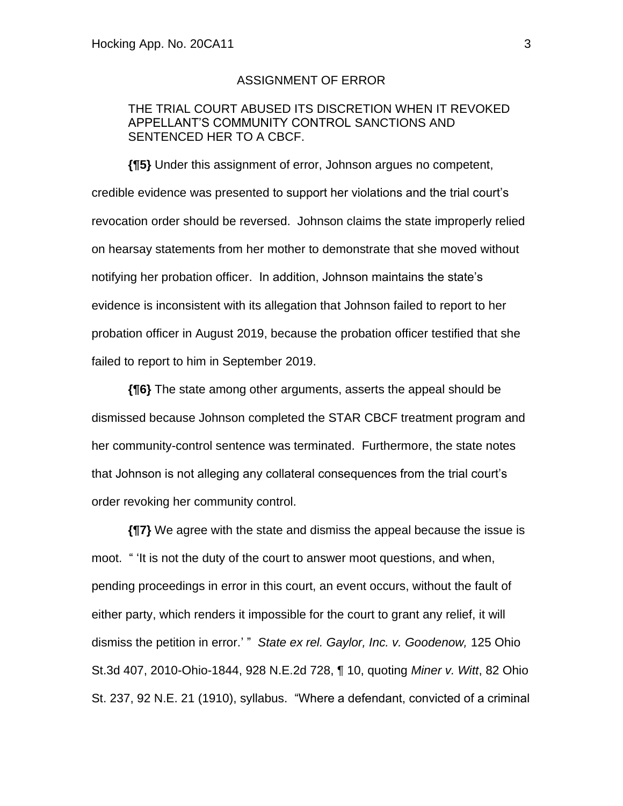### ASSIGNMENT OF ERROR

# THE TRIAL COURT ABUSED ITS DISCRETION WHEN IT REVOKED APPELLANT'S COMMUNITY CONTROL SANCTIONS AND SENTENCED HER TO A CBCF.

**{¶5}** Under this assignment of error, Johnson argues no competent, credible evidence was presented to support her violations and the trial court's revocation order should be reversed. Johnson claims the state improperly relied on hearsay statements from her mother to demonstrate that she moved without notifying her probation officer. In addition, Johnson maintains the state's evidence is inconsistent with its allegation that Johnson failed to report to her probation officer in August 2019, because the probation officer testified that she failed to report to him in September 2019.

**{¶6}** The state among other arguments, asserts the appeal should be dismissed because Johnson completed the STAR CBCF treatment program and her community-control sentence was terminated. Furthermore, the state notes that Johnson is not alleging any collateral consequences from the trial court's order revoking her community control.

**{¶7}** We agree with the state and dismiss the appeal because the issue is moot. " 'It is not the duty of the court to answer moot questions, and when, pending proceedings in error in this court, an event occurs, without the fault of either party, which renders it impossible for the court to grant any relief, it will dismiss the petition in error.' " *State ex rel. Gaylor, Inc. v. Goodenow,* 125 Ohio St.3d 407, 2010-Ohio-1844, 928 N.E.2d 728, ¶ 10, quoting *Miner v. Witt*, 82 Ohio St. 237, 92 N.E. 21 (1910), syllabus. "Where a defendant, convicted of a criminal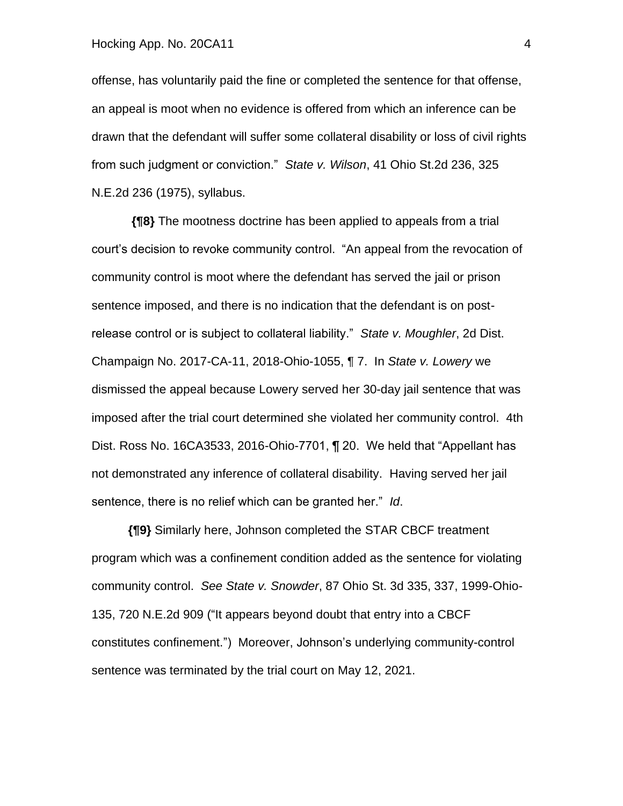#### Hocking App. No. 20CA11 4

offense, has voluntarily paid the fine or completed the sentence for that offense, an appeal is moot when no evidence is offered from which an inference can be drawn that the defendant will suffer some collateral disability or loss of civil rights from such judgment or conviction." *State v. Wilson*, 41 Ohio St.2d 236, 325 N.E.2d 236 (1975), syllabus.

**{¶8}** The mootness doctrine has been applied to appeals from a trial court's decision to revoke community control. "An appeal from the revocation of community control is moot where the defendant has served the jail or prison sentence imposed, and there is no indication that the defendant is on postrelease control or is subject to collateral liability." *State v. Moughler*, 2d Dist. Champaign No. 2017-CA-11, 2018-Ohio-1055, ¶ 7. In *State v. Lowery* we dismissed the appeal because Lowery served her 30-day jail sentence that was imposed after the trial court determined she violated her community control. 4th Dist. Ross No. 16CA3533, 2016-Ohio-7701, ¶ 20. We held that "Appellant has not demonstrated any inference of collateral disability. Having served her jail sentence, there is no relief which can be granted her." *Id*.

**{¶9}** Similarly here, Johnson completed the STAR CBCF treatment program which was a confinement condition added as the sentence for violating community control. *See State v. Snowder*, 87 Ohio St. 3d 335, 337, 1999-Ohio-135, 720 N.E.2d 909 ("It appears beyond doubt that entry into a CBCF constitutes confinement.") Moreover, Johnson's underlying community-control sentence was terminated by the trial court on May 12, 2021.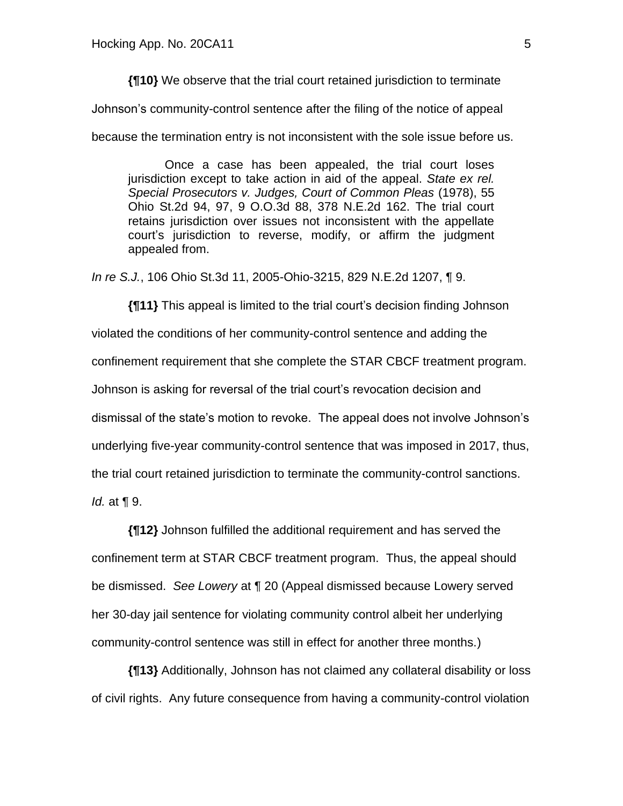**{¶10}** We observe that the trial court retained jurisdiction to terminate

Johnson's community-control sentence after the filing of the notice of appeal

because the termination entry is not inconsistent with the sole issue before us.

Once a case has been appealed, the trial court loses jurisdiction except to take action in aid of the appeal. *State ex rel. Special Prosecutors v. Judges, Court of Common Pleas* (1978), 55 Ohio St.2d 94, 97, 9 O.O.3d 88, 378 N.E.2d 162. The trial court retains jurisdiction over issues not inconsistent with the appellate court's jurisdiction to reverse, modify, or affirm the judgment appealed from.

*In re S.J.*, 106 Ohio St.3d 11, 2005-Ohio-3215, 829 N.E.2d 1207, ¶ 9.

**{¶11}** This appeal is limited to the trial court's decision finding Johnson violated the conditions of her community-control sentence and adding the confinement requirement that she complete the STAR CBCF treatment program. Johnson is asking for reversal of the trial court's revocation decision and dismissal of the state's motion to revoke. The appeal does not involve Johnson's underlying five-year community-control sentence that was imposed in 2017, thus, the trial court retained jurisdiction to terminate the community-control sanctions. *Id.* at ¶ 9.

**{¶12}** Johnson fulfilled the additional requirement and has served the confinement term at STAR CBCF treatment program. Thus, the appeal should be dismissed. *See Lowery* at ¶ 20 (Appeal dismissed because Lowery served her 30-day jail sentence for violating community control albeit her underlying community-control sentence was still in effect for another three months.)

**{¶13}** Additionally, Johnson has not claimed any collateral disability or loss of civil rights. Any future consequence from having a community-control violation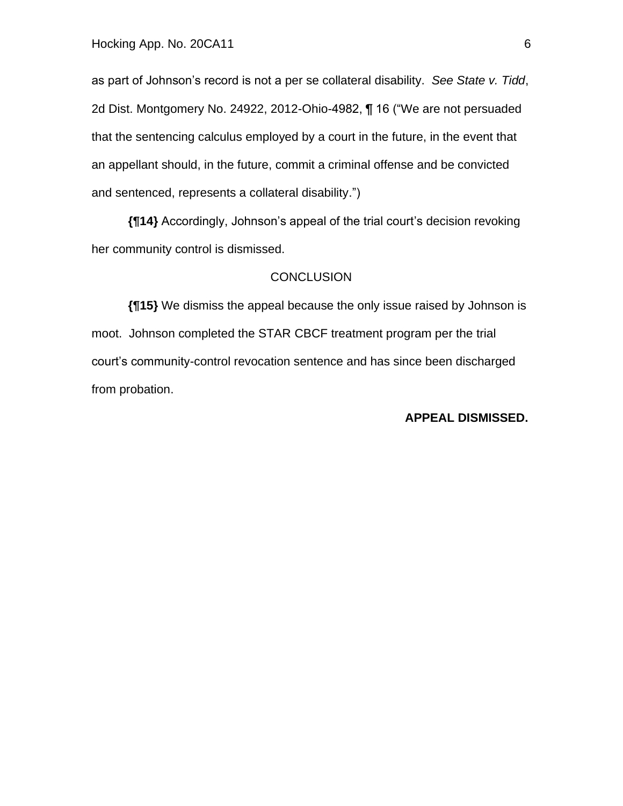as part of Johnson's record is not a per se collateral disability. *See State v. Tidd*, 2d Dist. Montgomery No. 24922, 2012-Ohio-4982, ¶ 16 ("We are not persuaded that the sentencing calculus employed by a court in the future, in the event that an appellant should, in the future, commit a criminal offense and be convicted and sentenced, represents a collateral disability.")

**{¶14}** Accordingly, Johnson's appeal of the trial court's decision revoking her community control is dismissed.

### **CONCLUSION**

**{¶15}** We dismiss the appeal because the only issue raised by Johnson is moot. Johnson completed the STAR CBCF treatment program per the trial court's community-control revocation sentence and has since been discharged from probation.

### **APPEAL DISMISSED.**